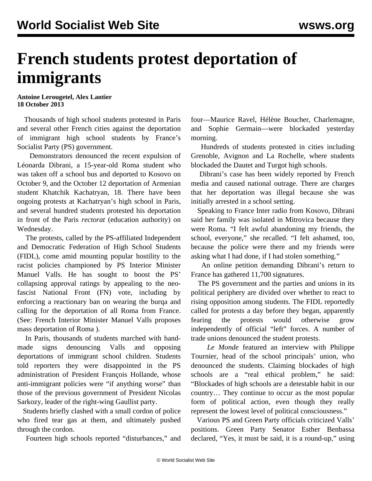## **French students protest deportation of immigrants**

**Antoine Lerougetel, Alex Lantier 18 October 2013**

 Thousands of high school students protested in Paris and several other French cities against the deportation of immigrant high school students by France's Socialist Party (PS) government.

 Demonstrators denounced the recent expulsion of Léonarda Dibrani, a 15-year-old Roma student who was taken off a school bus and deported to Kosovo on October 9, and the October 12 deportation of Armenian student Khatchik Kachatryan, 18. There have been ongoing protests at Kachatryan's high school in Paris, and several hundred students protested his deportation in front of the Paris *rectorat* (education authority) on Wednesday.

 The protests, called by the PS-affiliated Independent and Democratic Federation of High School Students (FIDL), come amid mounting popular hostility to the racist policies championed by PS Interior Minister Manuel Valls. He has sought to boost the PS' collapsing approval ratings by appealing to the neofascist National Front (FN) vote, including by enforcing a reactionary ban on wearing the burqa and calling for the deportation of all Roma from France. (See: [French Interior Minister Manuel Valls proposes](/en/articles/2013/10/01/vall-o01.html) [mass deportation of Roma](/en/articles/2013/10/01/vall-o01.html) ).

 In Paris, thousands of students marched with handmade signs denouncing Valls and opposing deportations of immigrant school children. Students told reporters they were disappointed in the PS administration of President François Hollande, whose anti-immigrant policies were "if anything worse" than those of the previous government of President Nicolas Sarkozy, leader of the right-wing Gaullist party.

 Students briefly clashed with a small cordon of police who fired tear gas at them, and ultimately pushed through the cordon.

Fourteen high schools reported "disturbances," and

four—Maurice Ravel, Hélène Boucher, Charlemagne, and Sophie Germain—were blockaded yesterday morning.

 Hundreds of students protested in cities including Grenoble, Avignon and La Rochelle, where students blockaded the Dautet and Turgot high schools.

 Dibrani's case has been widely reported by French media and caused national outrage. There are charges that her deportation was illegal because she was initially arrested in a school setting.

 Speaking to France Inter radio from Kosovo, Dibrani said her family was isolated in Mitrovica because they were Roma. "I felt awful abandoning my friends, the school, everyone," she recalled. "I felt ashamed, too, because the police were there and my friends were asking what I had done, if I had stolen something."

 An online petition demanding Dibrani's return to France has gathered 11,700 signatures.

 The PS government and the parties and unions in its political periphery are divided over whether to react to rising opposition among students. The FIDL reportedly called for protests a day before they began, apparently fearing the protests would otherwise grow independently of official "left" forces. A number of trade unions denounced the student protests.

 *Le Monde* featured an interview with Philippe Tournier, head of the school principals' union, who denounced the students. Claiming blockades of high schools are a "real ethical problem," he said: "Blockades of high schools are a detestable habit in our country… They continue to occur as the most popular form of political action, even though they really represent the lowest level of political consciousness."

 Various PS and Green Party officials criticized Valls' positions. Green Party Senator Esther Benbassa declared, "Yes, it must be said, it is a round-up," using